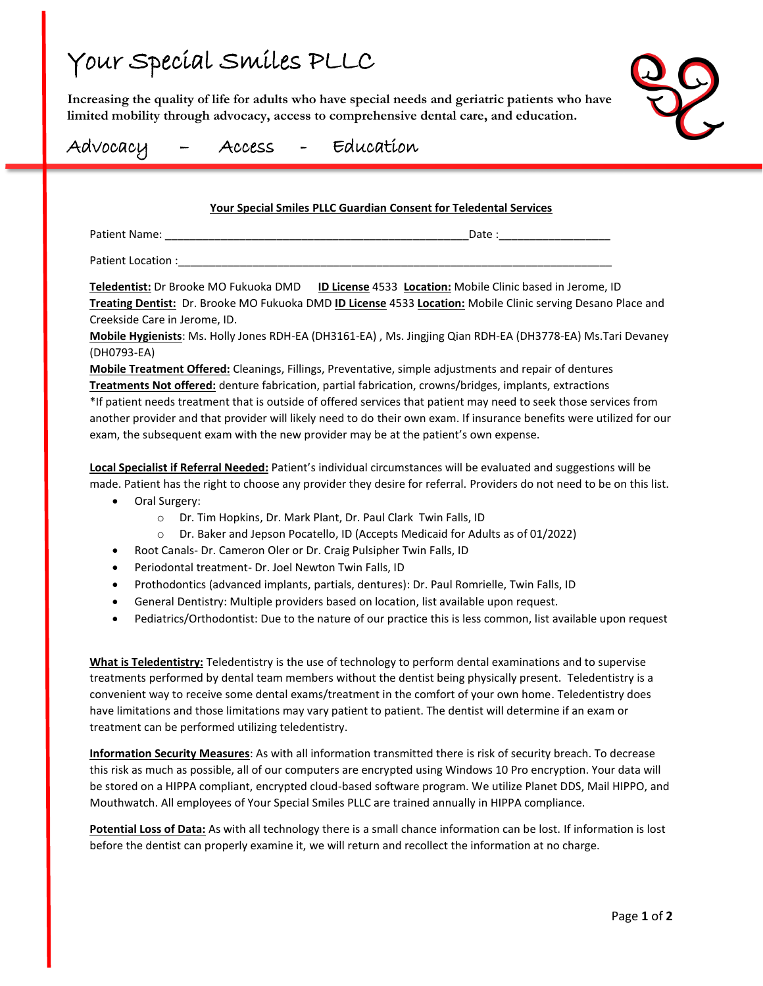## Your Special Smiles PLLC

**Increasing the quality of life for adults who have special needs and geriatric patients who have limited mobility through advocacy, access to comprehensive dental care, and education.**



### Advocacy – Access - Education

### **Your Special Smiles PLLC Guardian Consent for Teledental Services**

| Patient Name: |  |
|---------------|--|
|               |  |

Patient Location :

**Teledentist:** Dr Brooke MO Fukuoka DMD **ID License** 4533 **Location:** Mobile Clinic based in Jerome, ID **Treating Dentist:** Dr. Brooke MO Fukuoka DMD **ID License** 4533 **Location:** Mobile Clinic serving Desano Place and Creekside Care in Jerome, ID.

**Mobile Hygienists**: Ms. Holly Jones RDH-EA (DH3161-EA) , Ms. Jingjing Qian RDH-EA (DH3778-EA) Ms.Tari Devaney (DH0793-EA)

**Mobile Treatment Offered:** Cleanings, Fillings, Preventative, simple adjustments and repair of dentures **Treatments Not offered:** denture fabrication, partial fabrication, crowns/bridges, implants, extractions \*If patient needs treatment that is outside of offered services that patient may need to seek those services from another provider and that provider will likely need to do their own exam. If insurance benefits were utilized for our exam, the subsequent exam with the new provider may be at the patient's own expense.

**Local Specialist if Referral Needed:** Patient's individual circumstances will be evaluated and suggestions will be made. Patient has the right to choose any provider they desire for referral. Providers do not need to be on this list.

- Oral Surgery:
	- o Dr. Tim Hopkins, Dr. Mark Plant, Dr. Paul Clark Twin Falls, ID
	- o Dr. Baker and Jepson Pocatello, ID (Accepts Medicaid for Adults as of 01/2022)
- Root Canals- Dr. Cameron Oler or Dr. Craig Pulsipher Twin Falls, ID
- Periodontal treatment- Dr. Joel Newton Twin Falls, ID
- Prothodontics (advanced implants, partials, dentures): Dr. Paul Romrielle, Twin Falls, ID
- General Dentistry: Multiple providers based on location, list available upon request.
- Pediatrics/Orthodontist: Due to the nature of our practice this is less common, list available upon request

**What is Teledentistry:** Teledentistry is the use of technology to perform dental examinations and to supervise treatments performed by dental team members without the dentist being physically present. Teledentistry is a convenient way to receive some dental exams/treatment in the comfort of your own home. Teledentistry does have limitations and those limitations may vary patient to patient. The dentist will determine if an exam or treatment can be performed utilizing teledentistry.

**Information Security Measures**: As with all information transmitted there is risk of security breach. To decrease this risk as much as possible, all of our computers are encrypted using Windows 10 Pro encryption. Your data will be stored on a HIPPA compliant, encrypted cloud-based software program. We utilize Planet DDS, Mail HIPPO, and Mouthwatch. All employees of Your Special Smiles PLLC are trained annually in HIPPA compliance.

**Potential Loss of Data:** As with all technology there is a small chance information can be lost. If information is lost before the dentist can properly examine it, we will return and recollect the information at no charge.